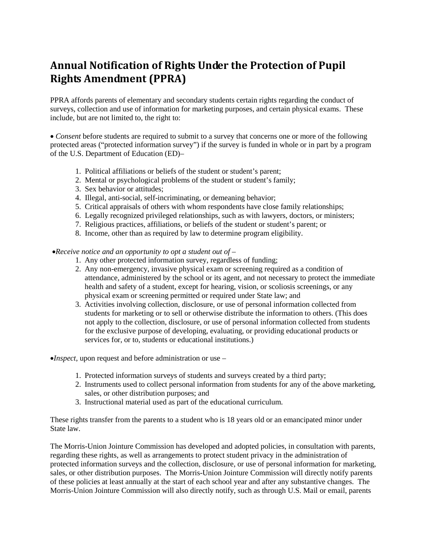## **Annual Notification of Rights Under the Protection of Pupil Rights Amendment (PPRA)**

PPRA affords parents of elementary and secondary students certain rights regarding the conduct of surveys, collection and use of information for marketing purposes, and certain physical exams. These include, but are not limited to, the right to:

• *Consent* before students are required to submit to a survey that concerns one or more of the following protected areas ("protected information survey") if the survey is funded in whole or in part by a program of the U.S. Department of Education (ED)–

- 1. Political affiliations or beliefs of the student or student's parent;
- 2. Mental or psychological problems of the student or student's family;
- 3. Sex behavior or attitudes;
- 4. Illegal, anti-social, self-incriminating, or demeaning behavior;
- 5. Critical appraisals of others with whom respondents have close family relationships;
- 6. Legally recognized privileged relationships, such as with lawyers, doctors, or ministers;
- 7. Religious practices, affiliations, or beliefs of the student or student's parent; or
- 8. Income, other than as required by law to determine program eligibility.

•*Receive notice and an opportunity to opt a student out of* –

- 1. Any other protected information survey, regardless of funding;
- 2. Any non-emergency, invasive physical exam or screening required as a condition of attendance, administered by the school or its agent, and not necessary to protect the immediate health and safety of a student, except for hearing, vision, or scoliosis screenings, or any physical exam or screening permitted or required under State law; and
- 3. Activities involving collection, disclosure, or use of personal information collected from students for marketing or to sell or otherwise distribute the information to others. (This does not apply to the collection, disclosure, or use of personal information collected from students for the exclusive purpose of developing, evaluating, or providing educational products or services for, or to, students or educational institutions.)

•*Inspect*, upon request and before administration or use –

- 1. Protected information surveys of students and surveys created by a third party;
- 2. Instruments used to collect personal information from students for any of the above marketing, sales, or other distribution purposes; and
- 3. Instructional material used as part of the educational curriculum.

These rights transfer from the parents to a student who is 18 years old or an emancipated minor under State law.

The Morris-Union Jointure Commission has developed and adopted policies, in consultation with parents, regarding these rights, as well as arrangements to protect student privacy in the administration of protected information surveys and the collection, disclosure, or use of personal information for marketing, sales, or other distribution purposes. The Morris-Union Jointure Commission will directly notify parents of these policies at least annually at the start of each school year and after any substantive changes. The Morris-Union Jointure Commission will also directly notify, such as through U.S. Mail or email, parents